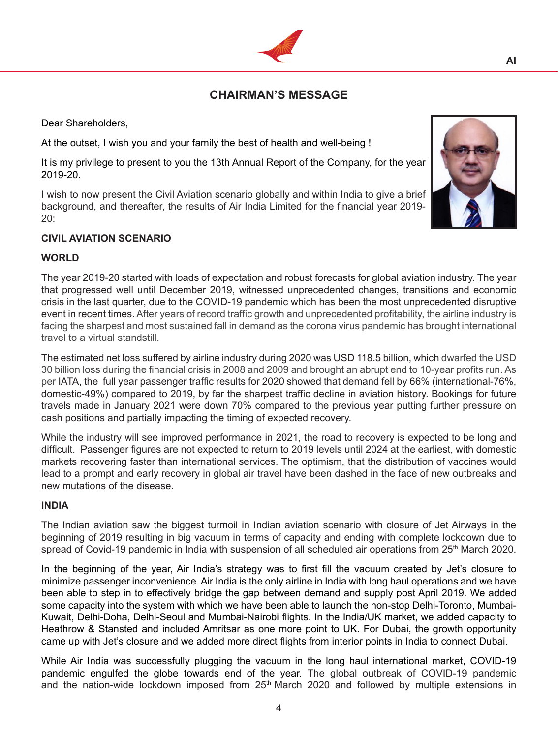# **CHAIRMAN'S MESSAGE**

Dear Shareholders,

At the outset, I wish you and your family the best of health and well-being !

It is my privilege to present to you the 13th Annual Report of the Company, for the year 2019-20.

I wish to now present the Civil Aviation scenario globally and within India to give a brief background, and thereafter, the results of Air India Limited for the financial year 2019- 20:

#### **CIVIL AVIATION SCENARIO**

#### **WORLD**

The year 2019-20 started with loads of expectation and robust forecasts for global aviation industry. The year that progressed well until December 2019, witnessed unprecedented changes, transitions and economic crisis in the last quarter, due to the COVID-19 pandemic which has been the most unprecedented disruptive event in recent times. After years of record traffic growth and unprecedented profitability, the airline industry is facing the sharpest and most sustained fall in demand as the corona virus pandemic has brought international travel to a virtual standstill.

The estimated net loss suffered by airline industry during 2020 was USD 118.5 billion, which dwarfed the USD 30 billion loss during the financial crisis in 2008 and 2009 and brought an abrupt end to 10-year profits run. As per IATA, the full year passenger traffic results for 2020 showed that demand fell by 66% (international-76%, domestic-49%) compared to 2019, by far the sharpest traffic decline in aviation history. Bookings for future travels made in January 2021 were down 70% compared to the previous year putting further pressure on cash positions and partially impacting the timing of expected recovery.

While the industry will see improved performance in 2021, the road to recovery is expected to be long and difficult. Passenger figures are not expected to return to 2019 levels until 2024 at the earliest, with domestic markets recovering faster than international services. The optimism, that the distribution of vaccines would lead to a prompt and early recovery in global air travel have been dashed in the face of new outbreaks and new mutations of the disease.

### **INDIA**

The Indian aviation saw the biggest turmoil in Indian aviation scenario with closure of Jet Airways in the beginning of 2019 resulting in big vacuum in terms of capacity and ending with complete lockdown due to spread of Covid-19 pandemic in India with suspension of all scheduled air operations from 25<sup>th</sup> March 2020.

In the beginning of the year, Air India's strategy was to first fill the vacuum created by Jet's closure to minimize passenger inconvenience. Air India is the only airline in India with long haul operations and we have been able to step in to effectively bridge the gap between demand and supply post April 2019. We added some capacity into the system with which we have been able to launch the non-stop Delhi-Toronto, Mumbai-Kuwait, Delhi-Doha, Delhi-Seoul and Mumbai-Nairobi flights. In the India/UK market, we added capacity to Heathrow & Stansted and included Amritsar as one more point to UK. For Dubai, the growth opportunity came up with Jet's closure and we added more direct flights from interior points in India to connect Dubai.

While Air India was successfully plugging the vacuum in the long haul international market, COVID-19 pandemic engulfed the globe towards end of the year. The global outbreak of COVID-19 pandemic and the nation-wide lockdown imposed from 25<sup>th</sup> March 2020 and followed by multiple extensions in



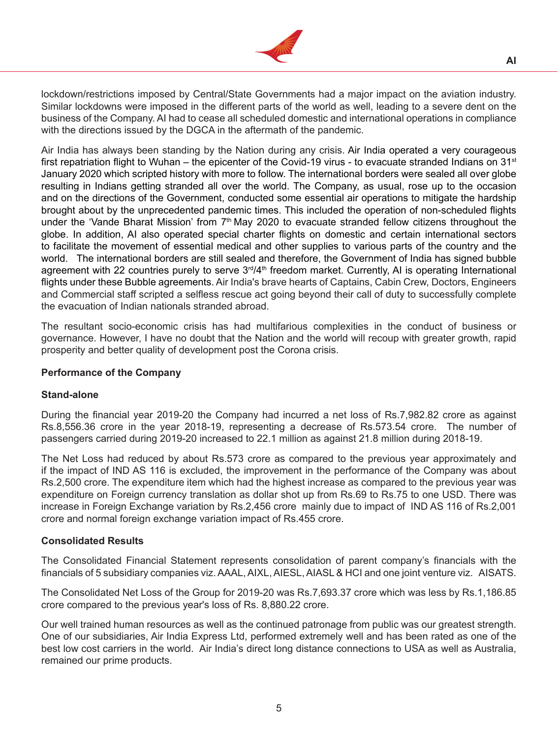

lockdown/restrictions imposed by Central/State Governments had a major impact on the aviation industry. Similar lockdowns were imposed in the different parts of the world as well, leading to a severe dent on the business of the Company. AI had to cease all scheduled domestic and international operations in compliance with the directions issued by the DGCA in the aftermath of the pandemic.

Air India has always been standing by the Nation during any crisis. Air India operated a very courageous first repatriation flight to Wuhan – the epicenter of the Covid-19 virus - to evacuate stranded Indians on  $31<sup>st</sup>$ January 2020 which scripted history with more to follow. The international borders were sealed all over globe resulting in Indians getting stranded all over the world. The Company, as usual, rose up to the occasion and on the directions of the Government, conducted some essential air operations to mitigate the hardship brought about by the unprecedented pandemic times. This included the operation of non-scheduled flights under the 'Vande Bharat Mission' from 7<sup>th</sup> May 2020 to evacuate stranded fellow citizens throughout the globe. In addition, AI also operated special charter flights on domestic and certain international sectors to facilitate the movement of essential medical and other supplies to various parts of the country and the world. The international borders are still sealed and therefore, the Government of India has signed bubble agreement with 22 countries purely to serve 3<sup>rd</sup>/4<sup>th</sup> freedom market. Currently, AI is operating International flights under these Bubble agreements. Air India's brave hearts of Captains, Cabin Crew, Doctors, Engineers and Commercial staff scripted a selfless rescue act going beyond their call of duty to successfully complete the evacuation of Indian nationals stranded abroad.

The resultant socio-economic crisis has had multifarious complexities in the conduct of business or governance. However, I have no doubt that the Nation and the world will recoup with greater growth, rapid prosperity and better quality of development post the Corona crisis.

#### **Performance of the Company**

#### **Stand-alone**

During the financial year 2019-20 the Company had incurred a net loss of Rs.7,982.82 crore as against Rs.8,556.36 crore in the year 2018-19, representing a decrease of Rs.573.54 crore. The number of passengers carried during 2019-20 increased to 22.1 million as against 21.8 million during 2018-19.

The Net Loss had reduced by about Rs.573 crore as compared to the previous year approximately and if the impact of IND AS 116 is excluded, the improvement in the performance of the Company was about Rs.2,500 crore. The expenditure item which had the highest increase as compared to the previous year was expenditure on Foreign currency translation as dollar shot up from Rs.69 to Rs.75 to one USD. There was increase in Foreign Exchange variation by Rs.2,456 crore mainly due to impact of IND AS 116 of Rs.2,001 crore and normal foreign exchange variation impact of Rs.455 crore.

#### **Consolidated Results**

The Consolidated Financial Statement represents consolidation of parent company's financials with the financials of 5 subsidiary companies viz. AAAL, AIXL, AIESL, AIASL & HCI and one joint venture viz. AISATS.

The Consolidated Net Loss of the Group for 2019-20 was Rs.7,693.37 crore which was less by Rs.1,186.85 crore compared to the previous year's loss of Rs. 8,880.22 crore.

Our well trained human resources as well as the continued patronage from public was our greatest strength. One of our subsidiaries, Air India Express Ltd, performed extremely well and has been rated as one of the best low cost carriers in the world. Air India's direct long distance connections to USA as well as Australia, remained our prime products.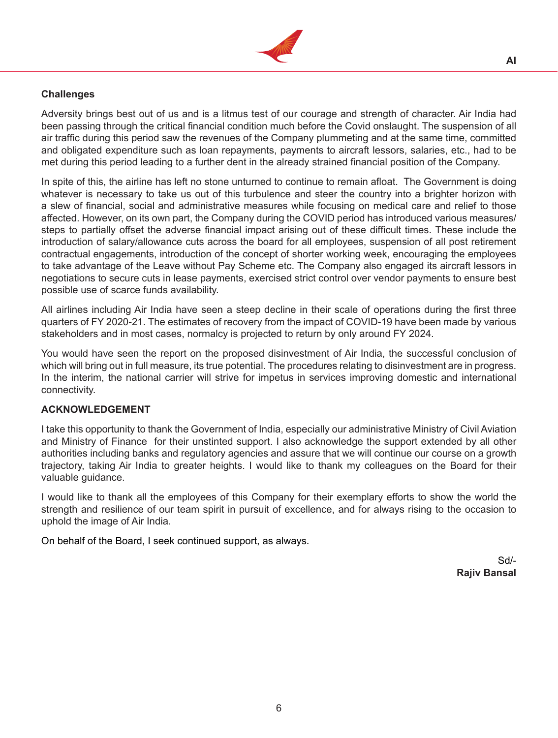

# **Challenges**

Adversity brings best out of us and is a litmus test of our courage and strength of character. Air India had been passing through the critical financial condition much before the Covid onslaught. The suspension of all air traffic during this period saw the revenues of the Company plummeting and at the same time, committed and obligated expenditure such as loan repayments, payments to aircraft lessors, salaries, etc., had to be met during this period leading to a further dent in the already strained financial position of the Company.

In spite of this, the airline has left no stone unturned to continue to remain afloat. The Government is doing whatever is necessary to take us out of this turbulence and steer the country into a brighter horizon with a slew of financial, social and administrative measures while focusing on medical care and relief to those affected. However, on its own part, the Company during the COVID period has introduced various measures/ steps to partially offset the adverse financial impact arising out of these difficult times. These include the introduction of salary/allowance cuts across the board for all employees, suspension of all post retirement contractual engagements, introduction of the concept of shorter working week, encouraging the employees to take advantage of the Leave without Pay Scheme etc. The Company also engaged its aircraft lessors in negotiations to secure cuts in lease payments, exercised strict control over vendor payments to ensure best possible use of scarce funds availability.

All airlines including Air India have seen a steep decline in their scale of operations during the first three quarters of FY 2020-21. The estimates of recovery from the impact of COVID-19 have been made by various stakeholders and in most cases, normalcy is projected to return by only around FY 2024.

You would have seen the report on the proposed disinvestment of Air India, the successful conclusion of which will bring out in full measure, its true potential. The procedures relating to disinvestment are in progress. In the interim, the national carrier will strive for impetus in services improving domestic and international connectivity.

### **ACKNOWLEDGEMENT**

I take this opportunity to thank the Government of India, especially our administrative Ministry of Civil Aviation and Ministry of Finance for their unstinted support. I also acknowledge the support extended by all other authorities including banks and regulatory agencies and assure that we will continue our course on a growth trajectory, taking Air India to greater heights. I would like to thank my colleagues on the Board for their valuable quidance.

I would like to thank all the employees of this Company for their exemplary efforts to show the world the strength and resilience of our team spirit in pursuit of excellence, and for always rising to the occasion to uphold the image of Air India.

On behalf of the Board, I seek continued support, as always.

Sd/- **Rajiv Bansal**